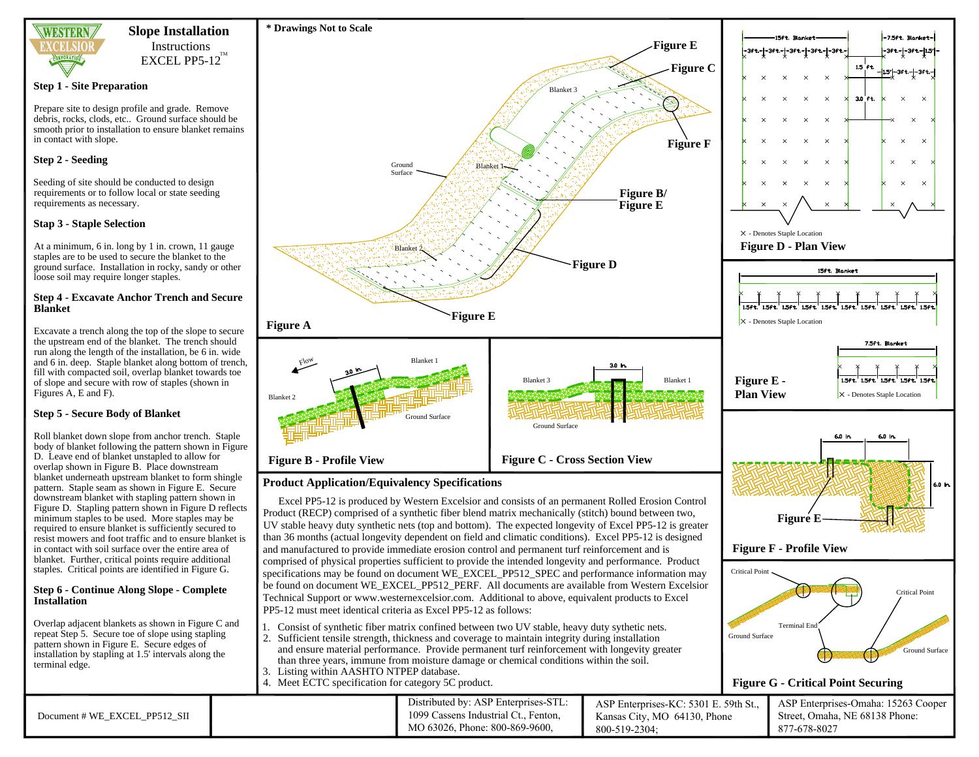

# **Slope Installation** Instructions

 $\rm EXCEL$  PP5-12 $^{\rm TM}$ 

### **Step 1 - Site Preparation**

Prepare site to design profile and grade. Remove debris, rocks, clods, etc.. Ground surface should be smooth prior to installation to ensure blanket remains in contact with slope.

# **Step 2 - Seeding**

Seeding of site should be conducted to design requirements or to follow local or state seeding requirements as necessary.

# **Stap 3 - Staple Selection**

At a minimum, 6 in. long by 1 in. crown, 11 gauge staples are to be used to secure the blanket to the ground surface. Installation in rocky, sandy or other loose soil may require longer staples.

#### **Step 4 - Excavate Anchor Trench and Secure Blanket**

Excavate a trench along the top of the slope to secure the upstream end of the blanket. The trench should run along the length of the installation, be 6 in. wide fill with compacted soil, overlap blanket towards toe of slope and secure with row of staples (shown in Figures A, E and F).

# **Step 5 - Secure Body of Blanket**

Roll blanket down slope from anchor trench. Staple body of blanket following the pattern shown in Figure D. Leave end of blanket unstapled to allow for overlap shown in Figure B. Place downstream blanket underneath upstream blanket to form shingle pattern. Staple seam as shown in Figure E. Secure downstream blanket with stapling pattern shown in Figure D. Stapling pattern shown in Figure D reflects minimum staples to be used. More staples may be required to ensure blanket is sufficiently secured to resist mowers and foot traffic and to ensure blanket is in contact with soil surface over the entire area of blanket. Further, critical points require additional staples. Critical points are identified in Figure G.

# **Step 6 - Continue Along Slope - Complete**

Overlap adjacent blankets as shown in Figure C and repeat Step 5. Secure toe of slope using stapling pattern shown in Figure E. Secure edges of installation by stapling at 1.5' intervals along the terminal edge.

and 6 in. deep. Staple blanket along bottom of trench,

# **Installation**



**Figure A Figure E**

**Product Application/Equivalency Specifications**

Blanket 2

Flow

**\* Drawings Not to Scale**

Ground Surface

**Blanke** 

Blanket 1

Ground Surface

- than three years, immune from moisture damage or chemical conditions within the soil. 3. Listing within AASHTO NTPEP database.
- 4. Meet ECTC specification for category 5C product.



| Document # WE EXCEL PP512 SII |  | Distributed by: ASP Enterprises-STL:<br>1099 Cassens Industrial Ct., Fenton.<br>MO 63026, Phone: 800-869-9600, | ASP Enterprises-KC: 5301 E. 59th St.,<br>Kansas City, MO 64130, Phone<br>800-519-2304; | ASP Enterprises-Omaha: 15263 Cooper<br>Street, Omaha, NE 68138 Phone:<br>877-678-8027 |
|-------------------------------|--|----------------------------------------------------------------------------------------------------------------|----------------------------------------------------------------------------------------|---------------------------------------------------------------------------------------|
|-------------------------------|--|----------------------------------------------------------------------------------------------------------------|----------------------------------------------------------------------------------------|---------------------------------------------------------------------------------------|

**Figure D**

Ground Surface

 $D$ lanket

Blanket 1-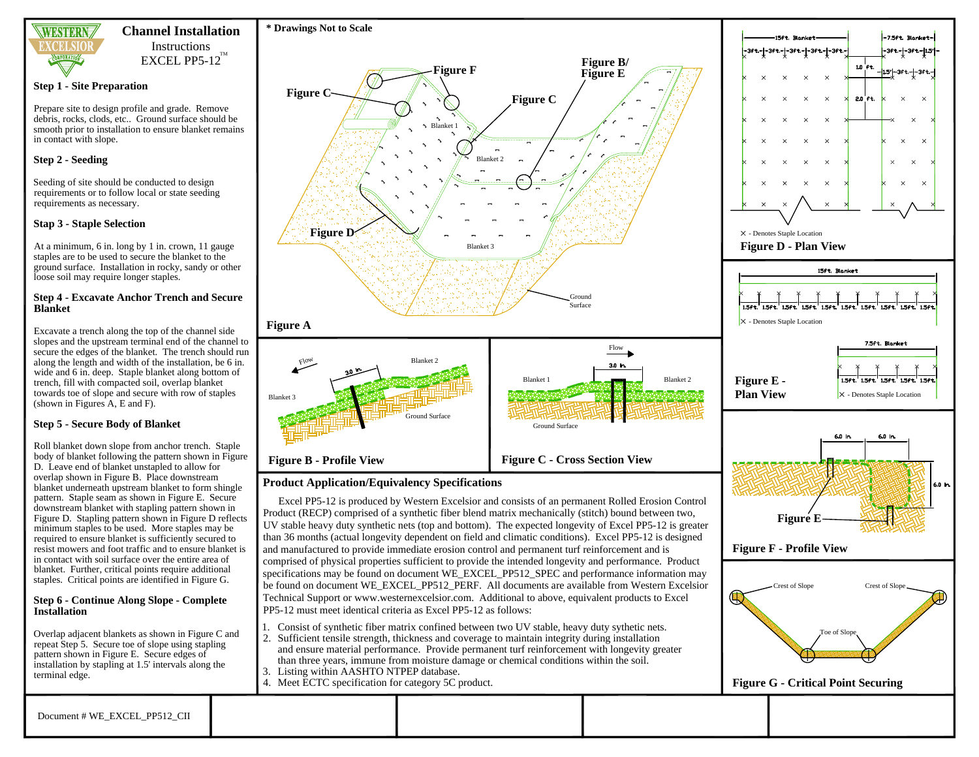

# **Channel Installation** Instructions  $\rm EXCEL$  PP5-12 $^{\rm TM}$

**Step 1 - Site Preparation**

Prepare site to design profile and grade. Remove debris, rocks, clods, etc.. Ground surface should be smooth prior to installation to ensure blanket remains in contact with slope.

## **Step 2 - Seeding**

Seeding of site should be conducted to design requirements or to follow local or state seeding requirements as necessary.

## **Stap 3 - Staple Selection**

At a minimum, 6 in. long by 1 in. crown, 11 gauge staples are to be used to secure the blanket to the ground surface. Installation in rocky, sandy or other loose soil may require longer staples.

#### **Step 4 - Excavate Anchor Trench and Secure Blanket**

Excavate a trench along the top of the channel side slopes and the upstream terminal end of the channel to secure the edges of the blanket. The trench should run along the length and width of the installation, be 6 in. wide and 6 in. deep. Staple blanket along bottom of trench, fill with compacted soil, overlap blanket towards toe of slope and secure with row of staples (shown in Figures A, E and F).

# **Step 5 - Secure Body of Blanket**

Roll blanket down slope from anchor trench. Staple body of blanket following the pattern shown in Figure D. Leave end of blanket unstapled to allow for overlap shown in Figure B. Place downstream blanket underneath upstream blanket to form shingle pattern. Staple seam as shown in Figure E. Secure downstream blanket with stapling pattern shown in Figure D. Stapling pattern shown in Figure D reflects minimum staples to be used. More staples may be required to ensure blanket is sufficiently secured to resist mowers and foot traffic and to ensure blanket is in contact with soil surface over the entire area of blanket. Further, critical points require additional staples. Critical points are identified in Figure G.

#### **Step 6 - Continue Along Slope - Complete Installation**

Overlap adjacent blankets as shown in Figure C and repeat Step 5. Secure toe of slope using stapling pattern shown in Figure E. Secure edges of installation by stapling at 1.5' intervals along the terminal edge.



# **Product Application/Equivalency Specifications**

Excel PP5-12 is produced by Western Excelsior and consists of an permanent Rolled Erosion Control Product (RECP) comprised of a synthetic fiber blend matrix mechanically (stitch) bound between two, UV stable heavy duty synthetic nets (top and bottom). The expected longevity of Excel PP5-12 is greater than 36 months (actual longevity dependent on field and climatic conditions). Excel PP5-12 is designed and manufactured to provide immediate erosion control and permanent turf reinforcement and is comprised of physical properties sufficient to provide the intended longevity and performance. Product specifications may be found on document WE\_EXCEL\_PP512\_SPEC and performance information may be found on document WE\_EXCEL\_PP512\_PERF. All documents are available from Western Excelsior Technical Support or www.westernexcelsior.com. Additional to above, equivalent products to Excel PP5-12 must meet identical criteria as Excel PP5-12 as follows:

- 1. Consist of synthetic fiber matrix confined between two UV stable, heavy duty sythetic nets.
- 2. Sufficient tensile strength, thickness and coverage to maintain integrity during installation and ensure material performance. Provide permanent turf reinforcement with longevity greater than three years, immune from moisture damage or chemical conditions within the soil.
- 3. Listing within AASHTO NTPEP database.
- 4. Meet ECTC specification for category 5C product.

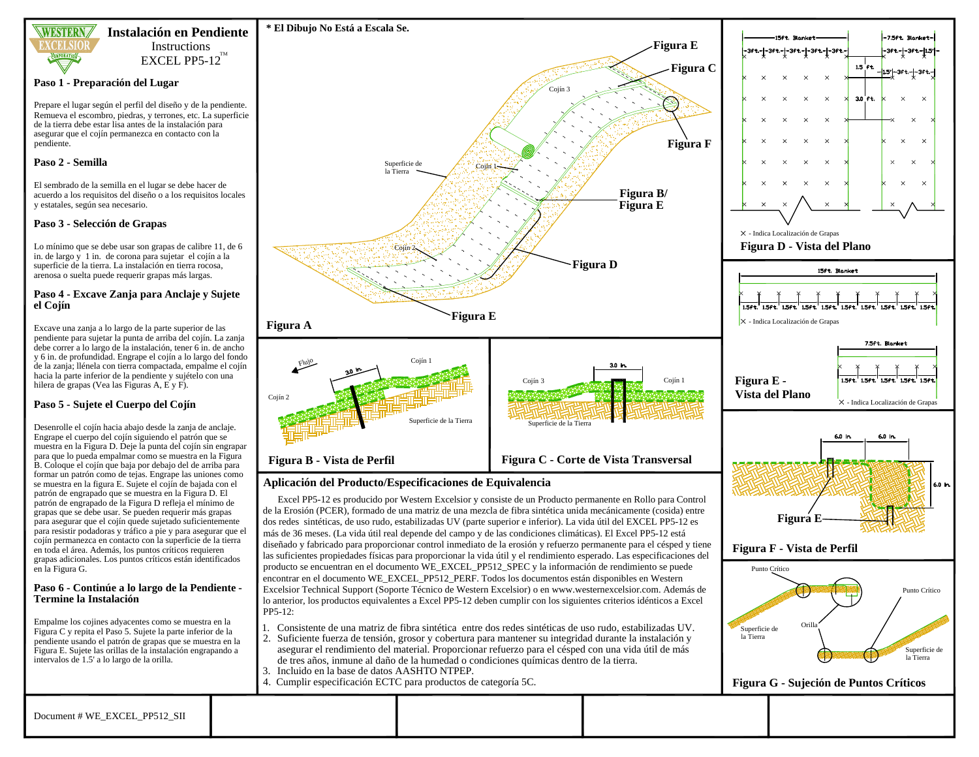

# Instructions **Instalación en Pendiente**

 $\rm EXCEL$  PP5-12 $^{\rm TM}$ 

#### **Paso 1 - Preparación del Lugar**

Prepare el lugar según el perfil del diseño y de la pendiente. Remueva el escombro, piedras, y terrones, etc. La superficie de la tierra debe estar lisa antes de la instalación para asegurar que el cojín permanezca en contacto con la pendiente.

#### **Paso 2 - Semilla**

El sembrado de la semilla en el lugar se debe hacer de acuerdo a los requisitos del diseño o a los requisitos locales y estatales, según sea necesario.

### **Paso 3 - Selección de Grapas**

Lo mínimo que se debe usar son grapas de calibre 11, de 6 in. de largo y 1 in. de corona para sujetar el cojín a la superficie de la tierra. La instalación en tierra rocosa, arenosa o suelta puede requerir grapas más largas.

#### **Paso 4 - Excave Zanja para Anclaje y Sujete el Cojín**

Excave una zanja a lo largo de la parte superior de las pendiente para sujetar la punta de arriba del cojín. La zanja debe correr a lo largo de la instalación, tener 6 in. de ancho y 6 in. de profundidad. Engrape el cojín a lo largo del fondo de la zanja; llénela con tierra compactada, empalme el cojín hacia la parte inferior de la pendiente y sujételo con una hilera de grapas (Vea las Figuras A, E y F).

# **Paso 5 - Sujete el Cuerpo del Cojín**

Desenrolle el cojín hacia abajo desde la zanja de anclaje. Engrape el cuerpo del cojín siguiendo el patrón que se muestra en la Figura D. Deje la punta del cojín sin engrapar para que lo pueda empalmar como se muestra en la Figura B. Coloque el cojín que baja por debajo del de arriba para formar un patrón como de tejas. Engrape las uniones como se muestra en la figura E. Sujete el cojín de bajada con el patrón de engrapado que se muestra en la Figura D. El patrón de engrapado de la Figura D refleja el mínimo de grapas que se debe usar. Se pueden requerir más grapas para asegurar que el cojín quede sujetado suficientemente para resistir podadoras y tráfico a pie y para asegurar que el cojín permanezca en contacto con la superficie de la tierra en toda el área. Además, los puntos críticos requieren grapas adicionales. Los puntos críticos están identificados en la Figura G.

#### **Paso 6 - Continúe a lo largo de la Pendiente - Termine la Instalación**

Empalme los cojines adyacentes como se muestra en la Figura C y repita el Paso 5. Sujete la parte inferior de la pendiente usando el patrón de grapas que se muestra en la Figura E. Sujete las orillas de la instalación engrapando a intervalos de 1.5' a lo largo de la orilla.



# **Aplicación del Producto/Especificaciones de Equivalencia**

Excel PP5-12 es producido por Western Excelsior y consiste de un Producto permanente en Rollo para Control de la Erosión (PCER), formado de una matriz de una mezcla de fibra sintética unida mecánicamente (cosida) entre dos redes sintéticas, de uso rudo, estabilizadas UV (parte superior e inferior). La vida útil del EXCEL PP5-12 es más de 36 meses. (La vida útil real depende del campo y de las condiciones climáticas). El Excel PP5-12 está diseñado y fabricado para proporcionar control inmediato de la erosión y refuerzo permanente para el césped y tiene las suficientes propiedades físicas para proporcionar la vida útil y el rendimiento esperado. Las especificaciones del producto se encuentran en el documento WE\_EXCEL\_PP512\_SPEC y la información de rendimiento se puede encontrar en el documento WE\_EXCEL\_PP512\_PERF. Todos los documentos están disponibles en Western Excelsior Technical Support (Soporte Técnico de Western Excelsior) o en www.westernexcelsior.com. Además de lo anterior, los productos equivalentes a Excel PP5-12 deben cumplir con los siguientes criterios idénticos a Excel PP5-12:

- 1. Consistente de una matriz de fibra sintética entre dos redes sintéticas de uso rudo, estabilizadas UV.
- 2. Suficiente fuerza de tensión, grosor y cobertura para mantener su integridad durante la instalación y asegurar el rendimiento del material. Proporcionar refuerzo para el césped con una vida útil de más de tres años, inmune al daño de la humedad o condiciones químicas dentro de la tierra.
- 3. Incluido en la base de datos AASHTO NTPEP.
- 4. Cumplir especificación ECTC para productos de categoría 5C.